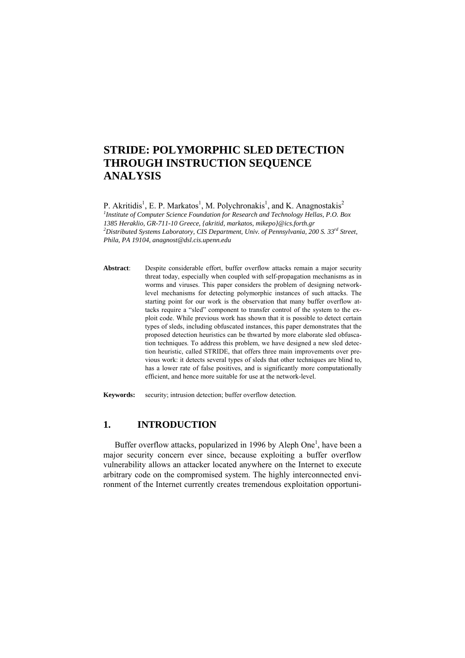# **STRIDE: POLYMORPHIC SLED DETECTION THROUGH INSTRUCTION SEQUENCE ANALYSIS**

P. Akritidis<sup>1</sup>, E. P. Markatos<sup>1</sup>, M. Polychronakis<sup>1</sup>, and K. Anagnostakis<sup>2</sup> *1 Institute of Computer Science Foundation for Research and Technology Hellas, P.O. Box 1385 Heraklio, GR-711-10 Greece, {akritid, markatos, mikepo}@ics.forth.gr 2 Distributed Systems Laboratory, CIS Department, Univ. of Pennsylvania, 200 S. 33rd Street, Phila, PA 19104, anagnost@dsl.cis.upenn.edu* 

**Abstract**: Despite considerable effort, buffer overflow attacks remain a major security threat today, especially when coupled with self-propagation mechanisms as in worms and viruses. This paper considers the problem of designing networklevel mechanisms for detecting polymorphic instances of such attacks. The starting point for our work is the observation that many buffer overflow attacks require a "sled" component to transfer control of the system to the exploit code. While previous work has shown that it is possible to detect certain types of sleds, including obfuscated instances, this paper demonstrates that the proposed detection heuristics can be thwarted by more elaborate sled obfuscation techniques. To address this problem, we have designed a new sled detection heuristic, called STRIDE, that offers three main improvements over previous work: it detects several types of sleds that other techniques are blind to, has a lower rate of false positives, and is significantly more computationally efficient, and hence more suitable for use at the network-level.

**Keywords:** security; intrusion detection; buffer overflow detection.

# **1. INTRODUCTION**

Buffer overflow attacks, popularized in 1996 by Aleph One<sup>1</sup>, have been a major security concern ever since, because exploiting a buffer overflow vulnerability allows an attacker located anywhere on the Internet to execute arbitrary code on the compromised system. The highly interconnected environment of the Internet currently creates tremendous exploitation opportuni-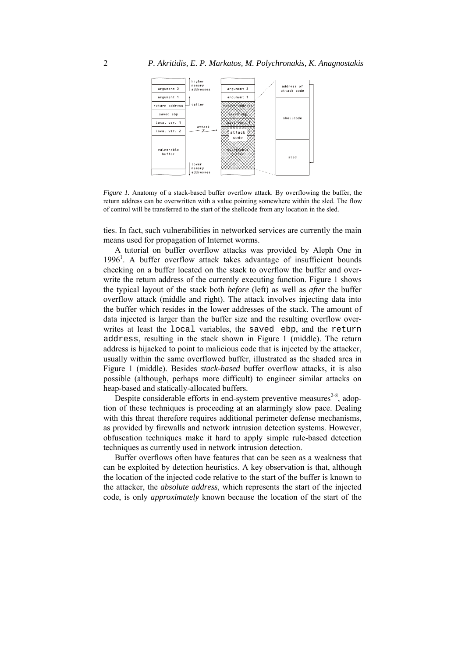

*Figure 1.* Anatomy of a stack-based buffer overflow attack. By overflowing the buffer, the return address can be overwritten with a value pointing somewhere within the sled. The flow of control will be transferred to the start of the shellcode from any location in the sled.

ties. In fact, such vulnerabilities in networked services are currently the main means used for propagation of Internet worms.

A tutorial on buffer overflow attacks was provided by Aleph One in 1996<sup>1</sup>. A buffer overflow attack takes advantage of insufficient bounds checking on a buffer located on the stack to overflow the buffer and overwrite the return address of the currently executing function. Figure 1 shows the typical layout of the stack both *before* (left) as well as *after* the buffer overflow attack (middle and right). The attack involves injecting data into the buffer which resides in the lower addresses of the stack. The amount of data injected is larger than the buffer size and the resulting overflow overwrites at least the local variables, the saved ebp, and the return address, resulting in the stack shown in Figure 1 (middle). The return address is hijacked to point to malicious code that is injected by the attacker, usually within the same overflowed buffer, illustrated as the shaded area in Figure 1 (middle). Besides *stack-based* buffer overflow attacks, it is also possible (although, perhaps more difficult) to engineer similar attacks on heap-based and statically-allocated buffers.

Despite considerable efforts in end-system preventive measures $2-8$ , adoption of these techniques is proceeding at an alarmingly slow pace. Dealing with this threat therefore requires additional perimeter defense mechanisms, as provided by firewalls and network intrusion detection systems. However, obfuscation techniques make it hard to apply simple rule-based detection techniques as currently used in network intrusion detection.

Buffer overflows often have features that can be seen as a weakness that can be exploited by detection heuristics. A key observation is that, although the location of the injected code relative to the start of the buffer is known to the attacker, the *absolute address*, which represents the start of the injected code, is only *approximately* known because the location of the start of the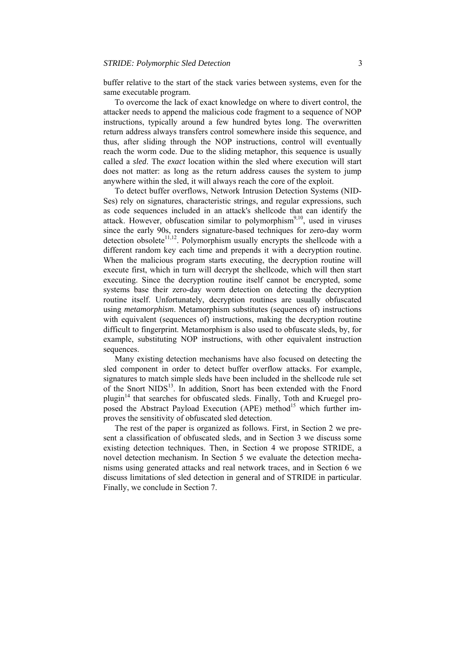buffer relative to the start of the stack varies between systems, even for the same executable program.

To overcome the lack of exact knowledge on where to divert control, the attacker needs to append the malicious code fragment to a sequence of NOP instructions, typically around a few hundred bytes long. The overwritten return address always transfers control somewhere inside this sequence, and thus, after sliding through the NOP instructions, control will eventually reach the worm code. Due to the sliding metaphor, this sequence is usually called a *sled*. The *exact* location within the sled where execution will start does not matter: as long as the return address causes the system to jump anywhere within the sled, it will always reach the core of the exploit.

To detect buffer overflows, Network Intrusion Detection Systems (NID-Ses) rely on signatures, characteristic strings, and regular expressions, such as code sequences included in an attack's shellcode that can identify the attack. However, obfuscation similar to polymorphism<sup>9,10</sup>, used in viruses since the early 90s, renders signature-based techniques for zero-day worm detection obsolete<sup>11,12</sup>. Polymorphism usually encrypts the shellcode with a different random key each time and prepends it with a decryption routine. When the malicious program starts executing, the decryption routine will execute first, which in turn will decrypt the shellcode, which will then start executing. Since the decryption routine itself cannot be encrypted, some systems base their zero-day worm detection on detecting the decryption routine itself. Unfortunately, decryption routines are usually obfuscated using *metamorphism*. Metamorphism substitutes (sequences of) instructions with equivalent (sequences of) instructions, making the decryption routine difficult to fingerprint. Metamorphism is also used to obfuscate sleds, by, for example, substituting NOP instructions, with other equivalent instruction sequences.

Many existing detection mechanisms have also focused on detecting the sled component in order to detect buffer overflow attacks. For example, signatures to match simple sleds have been included in the shellcode rule set of the Snort NIDS<sup>13</sup>. In addition, Snort has been extended with the Fnord plugin<sup>14</sup> that searches for obfuscated sleds. Finally, Toth and Kruegel proposed the Abstract Payload Execution (APE) method<sup>15</sup> which further improves the sensitivity of obfuscated sled detection.

The rest of the paper is organized as follows. First, in Section 2 we present a classification of obfuscated sleds, and in Section 3 we discuss some existing detection techniques. Then, in Section 4 we propose STRIDE, a novel detection mechanism. In Section 5 we evaluate the detection mechanisms using generated attacks and real network traces, and in Section 6 we discuss limitations of sled detection in general and of STRIDE in particular. Finally, we conclude in Section 7.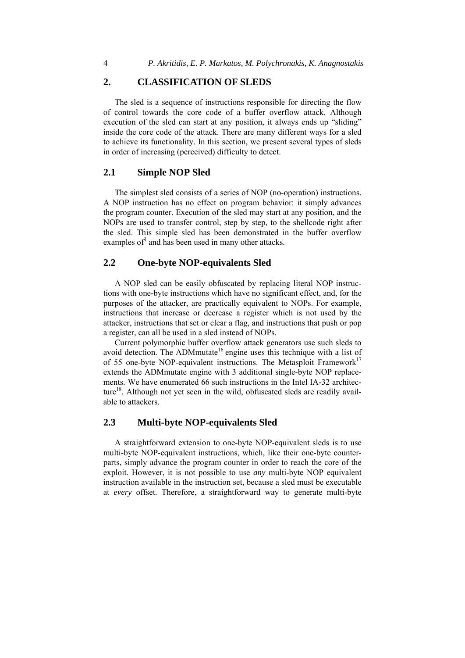# **2. CLASSIFICATION OF SLEDS**

The sled is a sequence of instructions responsible for directing the flow of control towards the core code of a buffer overflow attack. Although execution of the sled can start at any position, it always ends up "sliding" inside the core code of the attack. There are many different ways for a sled to achieve its functionality. In this section, we present several types of sleds in order of increasing (perceived) difficulty to detect.

#### **2.1 Simple NOP Sled**

The simplest sled consists of a series of NOP (no-operation) instructions. A NOP instruction has no effect on program behavior: it simply advances the program counter. Execution of the sled may start at any position, and the NOPs are used to transfer control, step by step, to the shellcode right after the sled. This simple sled has been demonstrated in the buffer overflow examples of<sup>1</sup> and has been used in many other attacks.

# **2.2 One-byte NOP-equivalents Sled**

A NOP sled can be easily obfuscated by replacing literal NOP instructions with one-byte instructions which have no significant effect, and, for the purposes of the attacker, are practically equivalent to NOPs. For example, instructions that increase or decrease a register which is not used by the attacker, instructions that set or clear a flag, and instructions that push or pop a register, can all be used in a sled instead of NOPs.

Current polymorphic buffer overflow attack generators use such sleds to avoid detection. The ADMmutate<sup>16</sup> engine uses this technique with a list of of 55 one-byte NOP-equivalent instructions. The Metasploit Framework<sup>17</sup> extends the ADMmutate engine with 3 additional single-byte NOP replacements. We have enumerated 66 such instructions in the Intel IA-32 architecture<sup>18</sup>. Although not yet seen in the wild, obfuscated sleds are readily available to attackers.

### **2.3 Multi-byte NOP-equivalents Sled**

A straightforward extension to one-byte NOP-equivalent sleds is to use multi-byte NOP-equivalent instructions, which, like their one-byte counterparts, simply advance the program counter in order to reach the core of the exploit. However, it is not possible to use *any* multi-byte NOP equivalent instruction available in the instruction set, because a sled must be executable at *every* offset. Therefore, a straightforward way to generate multi-byte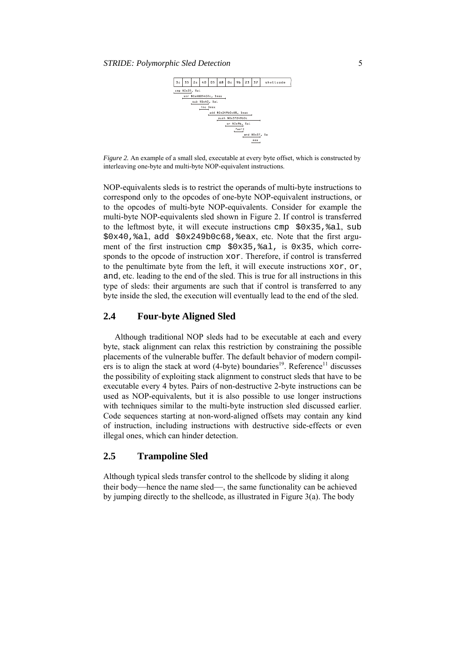

*Figure 2.* An example of a small sled, executable at every byte offset, which is constructed by interleaving one-byte and multi-byte NOP-equivalent instructions.

NOP-equivalents sleds is to restrict the operands of multi-byte instructions to correspond only to the opcodes of one-byte NOP-equivalent instructions, or to the opcodes of multi-byte NOP-equivalents. Consider for example the multi-byte NOP-equivalents sled shown in Figure 2. If control is transferred to the leftmost byte, it will execute instructions cmp \$0x35,%al, sub \$0x40,%al, add \$0x249b0c68,%eax, etc. Note that the first argument of the first instruction cmp \$0x35,%al, is 0x35, which corresponds to the opcode of instruction xor. Therefore, if control is transferred to the penultimate byte from the left, it will execute instructions xor, or, and, etc. leading to the end of the sled. This is true for all instructions in this type of sleds: their arguments are such that if control is transferred to any byte inside the sled, the execution will eventually lead to the end of the sled.

### **2.4 Four-byte Aligned Sled**

Although traditional NOP sleds had to be executable at each and every byte, stack alignment can relax this restriction by constraining the possible placements of the vulnerable buffer. The default behavior of modern compilers is to align the stack at word (4-byte) boundaries<sup>19</sup>. Reference<sup>11</sup> discusses the possibility of exploiting stack alignment to construct sleds that have to be executable every 4 bytes. Pairs of non-destructive 2-byte instructions can be used as NOP-equivalents, but it is also possible to use longer instructions with techniques similar to the multi-byte instruction sled discussed earlier. Code sequences starting at non-word-aligned offsets may contain any kind of instruction, including instructions with destructive side-effects or even illegal ones, which can hinder detection.

### **2.5 Trampoline Sled**

Although typical sleds transfer control to the shellcode by sliding it along their body—hence the name sled—, the same functionality can be achieved by jumping directly to the shellcode, as illustrated in Figure 3(a). The body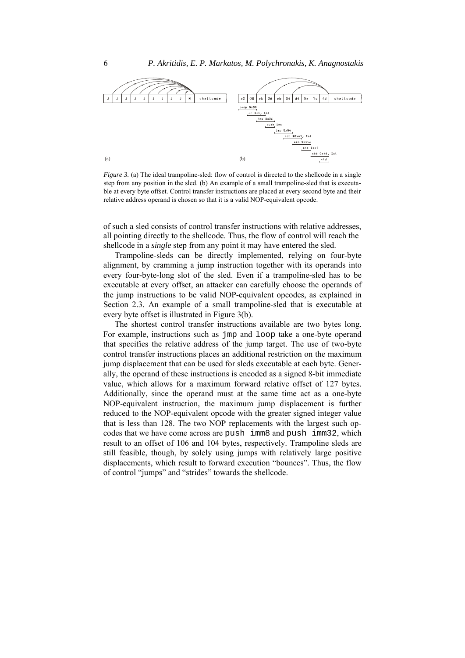

*Figure 3.* (a) The ideal trampoline-sled: flow of control is directed to the shellcode in a single step from any position in the sled. (b) An example of a small trampoline-sled that is executable at every byte offset. Control transfer instructions are placed at every second byte and their relative address operand is chosen so that it is a valid NOP-equivalent opcode.

of such a sled consists of control transfer instructions with relative addresses, all pointing directly to the shellcode. Thus, the flow of control will reach the shellcode in a *single* step from any point it may have entered the sled.

Trampoline-sleds can be directly implemented, relying on four-byte alignment, by cramming a jump instruction together with its operands into every four-byte-long slot of the sled. Even if a trampoline-sled has to be executable at every offset, an attacker can carefully choose the operands of the jump instructions to be valid NOP-equivalent opcodes, as explained in Section 2.3. An example of a small trampoline-sled that is executable at every byte offset is illustrated in Figure 3(b).

The shortest control transfer instructions available are two bytes long. For example, instructions such as jmp and loop take a one-byte operand that specifies the relative address of the jump target. The use of two-byte control transfer instructions places an additional restriction on the maximum jump displacement that can be used for sleds executable at each byte. Generally, the operand of these instructions is encoded as a signed 8-bit immediate value, which allows for a maximum forward relative offset of 127 bytes. Additionally, since the operand must at the same time act as a one-byte NOP-equivalent instruction, the maximum jump displacement is further reduced to the NOP-equivalent opcode with the greater signed integer value that is less than 128. The two NOP replacements with the largest such opcodes that we have come across are push imm8 and push imm32, which result to an offset of 106 and 104 bytes, respectively. Trampoline sleds are still feasible, though, by solely using jumps with relatively large positive displacements, which result to forward execution "bounces". Thus, the flow of control "jumps" and "strides" towards the shellcode.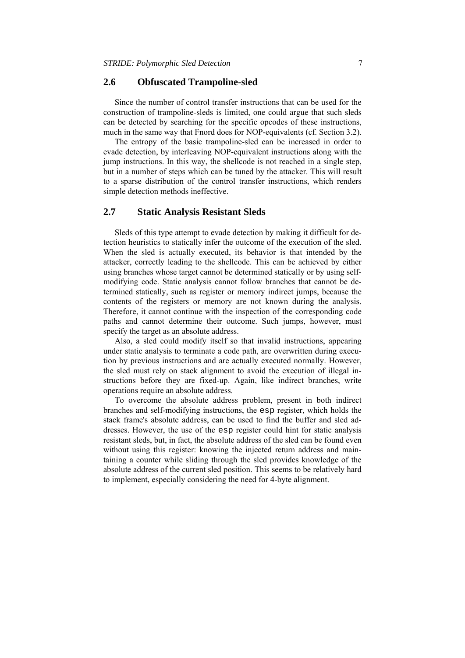### **2.6 Obfuscated Trampoline-sled**

Since the number of control transfer instructions that can be used for the construction of trampoline-sleds is limited, one could argue that such sleds can be detected by searching for the specific opcodes of these instructions, much in the same way that Fnord does for NOP-equivalents (cf. Section 3.2).

The entropy of the basic trampoline-sled can be increased in order to evade detection, by interleaving NOP-equivalent instructions along with the jump instructions. In this way, the shellcode is not reached in a single step, but in a number of steps which can be tuned by the attacker. This will result to a sparse distribution of the control transfer instructions, which renders simple detection methods ineffective.

# **2.7 Static Analysis Resistant Sleds**

Sleds of this type attempt to evade detection by making it difficult for detection heuristics to statically infer the outcome of the execution of the sled. When the sled is actually executed, its behavior is that intended by the attacker, correctly leading to the shellcode. This can be achieved by either using branches whose target cannot be determined statically or by using selfmodifying code. Static analysis cannot follow branches that cannot be determined statically, such as register or memory indirect jumps, because the contents of the registers or memory are not known during the analysis. Therefore, it cannot continue with the inspection of the corresponding code paths and cannot determine their outcome. Such jumps, however, must specify the target as an absolute address.

Also, a sled could modify itself so that invalid instructions, appearing under static analysis to terminate a code path, are overwritten during execution by previous instructions and are actually executed normally. However, the sled must rely on stack alignment to avoid the execution of illegal instructions before they are fixed-up. Again, like indirect branches, write operations require an absolute address.

To overcome the absolute address problem, present in both indirect branches and self-modifying instructions, the esp register, which holds the stack frame's absolute address, can be used to find the buffer and sled addresses. However, the use of the esp register could hint for static analysis resistant sleds, but, in fact, the absolute address of the sled can be found even without using this register: knowing the injected return address and maintaining a counter while sliding through the sled provides knowledge of the absolute address of the current sled position. This seems to be relatively hard to implement, especially considering the need for 4-byte alignment.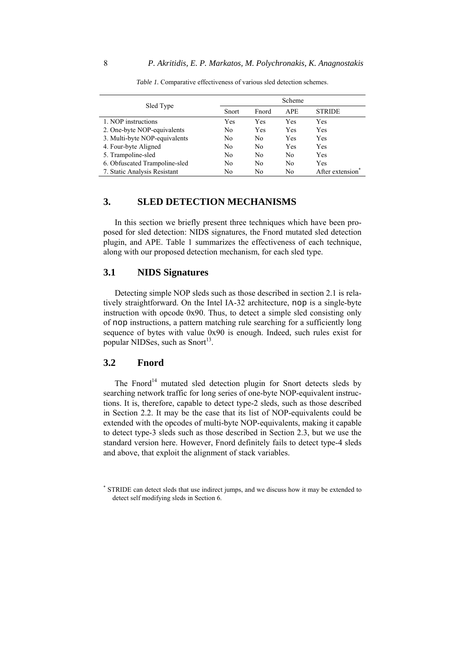| Sled Type                     | Scheme         |                |                |                 |  |
|-------------------------------|----------------|----------------|----------------|-----------------|--|
|                               | Snort          | Fnord          | <b>APE</b>     | <b>STRIDE</b>   |  |
| 1. NOP instructions           | Yes            | Yes            | Yes            | Yes             |  |
| 2. One-byte NOP-equivalents   | N <sub>0</sub> | Yes            | Yes            | Yes             |  |
| 3. Multi-byte NOP-equivalents | No             | No             | Yes            | Yes             |  |
| 4. Four-byte Aligned          | No             | No             | Yes            | Yes             |  |
| 5. Trampoline-sled            | No             | N <sub>0</sub> | N <sub>0</sub> | Yes             |  |
| 6. Obfuscated Trampoline-sled | No             | N <sub>0</sub> | N <sub>0</sub> | Yes             |  |
| 7. Static Analysis Resistant  | No             | No             | No             | After extension |  |

*Table 1.* Comparative effectiveness of various sled detection schemes.

#### **3. SLED DETECTION MECHANISMS**

In this section we briefly present three techniques which have been proposed for sled detection: NIDS signatures, the Fnord mutated sled detection plugin, and APE. Table 1 summarizes the effectiveness of each technique, along with our proposed detection mechanism, for each sled type.

# **3.1 NIDS Signatures**

Detecting simple NOP sleds such as those described in section 2.1 is relatively straightforward. On the Intel IA-32 architecture, nop is a single-byte instruction with opcode 0x90. Thus, to detect a simple sled consisting only of nop instructions, a pattern matching rule searching for a sufficiently long sequence of bytes with value 0x90 is enough. Indeed, such rules exist for popular NIDSes, such as  $Snort<sup>13</sup>$ .

#### **3.2 Fnord**

The Fnord<sup>14</sup> mutated sled detection plugin for Snort detects sleds by searching network traffic for long series of one-byte NOP-equivalent instructions. It is, therefore, capable to detect type-2 sleds, such as those described in Section 2.2. It may be the case that its list of NOP-equivalents could be extended with the opcodes of multi-byte NOP-equivalents, making it capable to detect type-3 sleds such as those described in Section 2.3, but we use the standard version here. However, Fnord definitely fails to detect type-4 sleds and above, that exploit the alignment of stack variables.

<sup>\*</sup> STRIDE can detect sleds that use indirect jumps, and we discuss how it may be extended to detect self modifying sleds in Section 6.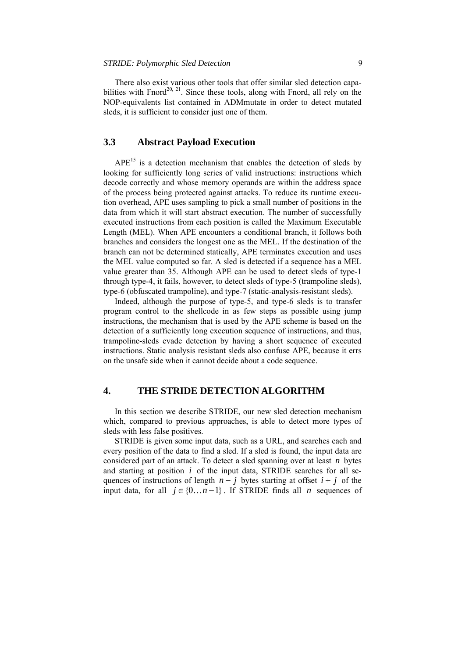There also exist various other tools that offer similar sled detection capabilities with Fnord<sup>20, 21</sup>. Since these tools, along with Fnord, all rely on the NOP-equivalents list contained in ADMmutate in order to detect mutated sleds, it is sufficient to consider just one of them.

# **3.3 Abstract Payload Execution**

 $APE<sup>15</sup>$  is a detection mechanism that enables the detection of sleds by looking for sufficiently long series of valid instructions: instructions which decode correctly and whose memory operands are within the address space of the process being protected against attacks. To reduce its runtime execution overhead, APE uses sampling to pick a small number of positions in the data from which it will start abstract execution. The number of successfully executed instructions from each position is called the Maximum Executable Length (MEL). When APE encounters a conditional branch, it follows both branches and considers the longest one as the MEL. If the destination of the branch can not be determined statically, APE terminates execution and uses the MEL value computed so far. A sled is detected if a sequence has a MEL value greater than 35. Although APE can be used to detect sleds of type-1 through type-4, it fails, however, to detect sleds of type-5 (trampoline sleds), type-6 (obfuscated trampoline), and type-7 (static-analysis-resistant sleds).

Indeed, although the purpose of type-5, and type-6 sleds is to transfer program control to the shellcode in as few steps as possible using jump instructions, the mechanism that is used by the APE scheme is based on the detection of a sufficiently long execution sequence of instructions, and thus, trampoline-sleds evade detection by having a short sequence of executed instructions. Static analysis resistant sleds also confuse APE, because it errs on the unsafe side when it cannot decide about a code sequence.

### **4. THE STRIDE DETECTION ALGORITHM**

In this section we describe STRIDE, our new sled detection mechanism which, compared to previous approaches, is able to detect more types of sleds with less false positives.

STRIDE is given some input data, such as a URL, and searches each and every position of the data to find a sled. If a sled is found, the input data are considered part of an attack. To detect a sled spanning over at least *n* bytes and starting at position  $i$  of the input data, STRIDE searches for all sequences of instructions of length  $n - j$  bytes starting at offset  $i + j$  of the input data, for all  $j \in \{0...n-1\}$ . If STRIDE finds all *n* sequences of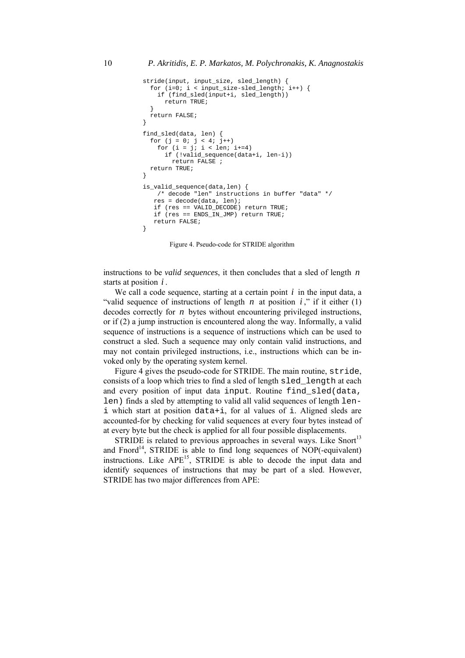```
 stride(input, input_size, sled_length) { 
for (i=0; i < input_size-sled_length; i++) { 
      if (find_sled(input+i, sled_length)) 
         return TRUE; 
} 
     return FALSE; 
   } 
 find sled(data, len) {
    for (j = 0; j < 4; j++)for (i = j; i < len; i++) if (!valid_sequence(data+i, len-i)) 
          return FALSE ; 
    return TRUE; 
  } 
 is valid sequence(data,len) {
      /* decode "len" instructions in buffer "data" */ 
      res = decode(data, len); 
      if (res == VALID_DECODE) return TRUE; 
      if (res == ENDS_IN_JMP) return TRUE; 
     return FALSE; 
   }
```
Figure 4. Pseudo-code for STRIDE algorithm

instructions to be *valid sequences*, it then concludes that a sled of length *n* starts at position *i* .

We call a code sequence, starting at a certain point *i* in the input data, a "valid sequence of instructions of length  $n$  at position  $i$ ," if it either (1) decodes correctly for *n* bytes without encountering privileged instructions, or if (2) a jump instruction is encountered along the way. Informally, a valid sequence of instructions is a sequence of instructions which can be used to construct a sled. Such a sequence may only contain valid instructions, and may not contain privileged instructions, i.e., instructions which can be invoked only by the operating system kernel.

Figure 4 gives the pseudo-code for STRIDE. The main routine, stride, consists of a loop which tries to find a sled of length sled\_length at each and every position of input data input. Routine find sled(data, len) finds a sled by attempting to valid all valid sequences of length leni which start at position data+i, for al values of i. Aligned sleds are accounted-for by checking for valid sequences at every four bytes instead of at every byte but the check is applied for all four possible displacements.

STRIDE is related to previous approaches in several ways. Like  $Snort<sup>13</sup>$ and Fnord<sup>14</sup>, STRIDE is able to find long sequences of NOP(-equivalent) instructions. Like  $APE<sup>15</sup>$ , STRIDE is able to decode the input data and identify sequences of instructions that may be part of a sled. However, STRIDE has two major differences from APE: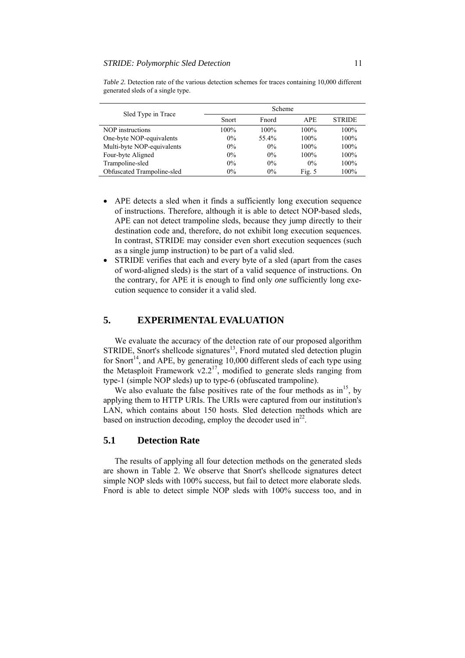| Sled Type in Trace         | Scheme  |         |            |               |  |
|----------------------------|---------|---------|------------|---------------|--|
|                            | Snort   | Fnord   | <b>APE</b> | <b>STRIDE</b> |  |
| NOP instructions           | $100\%$ | $100\%$ | $100\%$    | 100%          |  |
| One-byte NOP-equivalents   | $0\%$   | 55.4%   | $100\%$    | 100%          |  |
| Multi-byte NOP-equivalents | $0\%$   | $0\%$   | $100\%$    | 100%          |  |
| Four-byte Aligned          | $0\%$   | $0\%$   | $100\%$    | 100%          |  |
| Trampoline-sled            | $0\%$   | $0\%$   | $0\%$      | 100%          |  |
| Obfuscated Trampoline-sled | $0\%$   | $0\%$   | Fig. 5     | 100%          |  |

*Table 2.* Detection rate of the various detection schemes for traces containing 10,000 different generated sleds of a single type.

- APE detects a sled when it finds a sufficiently long execution sequence of instructions. Therefore, although it is able to detect NOP-based sleds, APE can not detect trampoline sleds, because they jump directly to their destination code and, therefore, do not exhibit long execution sequences. In contrast, STRIDE may consider even short execution sequences (such as a single jump instruction) to be part of a valid sled.
- STRIDE verifies that each and every byte of a sled (apart from the cases of word-aligned sleds) is the start of a valid sequence of instructions. On the contrary, for APE it is enough to find only *one* sufficiently long execution sequence to consider it a valid sled.

# **5. EXPERIMENTAL EVALUATION**

We evaluate the accuracy of the detection rate of our proposed algorithm STRIDE, Snort's shellcode signatures<sup>13</sup>, Fnord mutated sled detection plugin for Snort<sup>14</sup>, and APE, by generating 10,000 different sleds of each type using the Metasploit Framework  $v2.2^{17}$ , modified to generate sleds ranging from type-1 (simple NOP sleds) up to type-6 (obfuscated trampoline).

We also evaluate the false positives rate of the four methods as  $in^{15}$ , by applying them to HTTP URIs. The URIs were captured from our institution's LAN, which contains about 150 hosts. Sled detection methods which are based on instruction decoding, employ the decoder used  $in^{22}$ .

### **5.1 Detection Rate**

The results of applying all four detection methods on the generated sleds are shown in Table 2. We observe that Snort's shellcode signatures detect simple NOP sleds with 100% success, but fail to detect more elaborate sleds. Fnord is able to detect simple NOP sleds with 100% success too, and in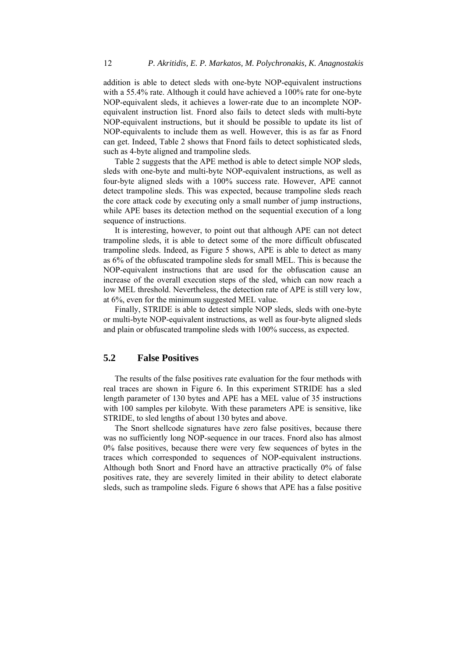addition is able to detect sleds with one-byte NOP-equivalent instructions with a 55.4% rate. Although it could have achieved a 100% rate for one-byte NOP-equivalent sleds, it achieves a lower-rate due to an incomplete NOPequivalent instruction list. Fnord also fails to detect sleds with multi-byte NOP-equivalent instructions, but it should be possible to update its list of NOP-equivalents to include them as well. However, this is as far as Fnord can get. Indeed, Table 2 shows that Fnord fails to detect sophisticated sleds, such as 4-byte aligned and trampoline sleds.

Table 2 suggests that the APE method is able to detect simple NOP sleds, sleds with one-byte and multi-byte NOP-equivalent instructions, as well as four-byte aligned sleds with a 100% success rate. However, APE cannot detect trampoline sleds. This was expected, because trampoline sleds reach the core attack code by executing only a small number of jump instructions, while APE bases its detection method on the sequential execution of a long sequence of instructions.

It is interesting, however, to point out that although APE can not detect trampoline sleds, it is able to detect some of the more difficult obfuscated trampoline sleds. Indeed, as Figure 5 shows, APE is able to detect as many as 6% of the obfuscated trampoline sleds for small MEL. This is because the NOP-equivalent instructions that are used for the obfuscation cause an increase of the overall execution steps of the sled, which can now reach a low MEL threshold. Nevertheless, the detection rate of APE is still very low, at 6%, even for the minimum suggested MEL value.

Finally, STRIDE is able to detect simple NOP sleds, sleds with one-byte or multi-byte NOP-equivalent instructions, as well as four-byte aligned sleds and plain or obfuscated trampoline sleds with 100% success, as expected.

### **5.2 False Positives**

The results of the false positives rate evaluation for the four methods with real traces are shown in Figure 6. In this experiment STRIDE has a sled length parameter of 130 bytes and APE has a MEL value of 35 instructions with 100 samples per kilobyte. With these parameters APE is sensitive, like STRIDE, to sled lengths of about 130 bytes and above.

The Snort shellcode signatures have zero false positives, because there was no sufficiently long NOP-sequence in our traces. Fnord also has almost 0% false positives, because there were very few sequences of bytes in the traces which corresponded to sequences of NOP-equivalent instructions. Although both Snort and Fnord have an attractive practically 0% of false positives rate, they are severely limited in their ability to detect elaborate sleds, such as trampoline sleds. Figure 6 shows that APE has a false positive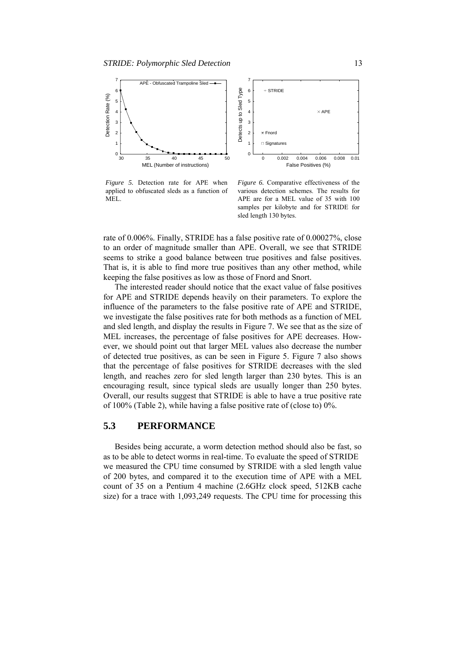

*Figure 5.* Detection rate for APE when applied to obfuscated sleds as a function of MEL.

*Figure 6.* Comparative effectiveness of the various detection schemes. The results for APE are for a MEL value of 35 with 100 samples per kilobyte and for STRIDE for sled length 130 bytes.

rate of 0.006%. Finally, STRIDE has a false positive rate of 0.00027%, close to an order of magnitude smaller than APE. Overall, we see that STRIDE seems to strike a good balance between true positives and false positives. That is, it is able to find more true positives than any other method, while keeping the false positives as low as those of Fnord and Snort.

The interested reader should notice that the exact value of false positives for APE and STRIDE depends heavily on their parameters. To explore the influence of the parameters to the false positive rate of APE and STRIDE, we investigate the false positives rate for both methods as a function of MEL and sled length, and display the results in Figure 7. We see that as the size of MEL increases, the percentage of false positives for APE decreases. However, we should point out that larger MEL values also decrease the number of detected true positives, as can be seen in Figure 5. Figure 7 also shows that the percentage of false positives for STRIDE decreases with the sled length, and reaches zero for sled length larger than 230 bytes. This is an encouraging result, since typical sleds are usually longer than 250 bytes. Overall, our results suggest that STRIDE is able to have a true positive rate of 100% (Table 2), while having a false positive rate of (close to) 0%.

### **5.3 PERFORMANCE**

Besides being accurate, a worm detection method should also be fast, so as to be able to detect worms in real-time. To evaluate the speed of STRIDE we measured the CPU time consumed by STRIDE with a sled length value of 200 bytes, and compared it to the execution time of APE with a MEL count of 35 on a Pentium 4 machine (2.6GHz clock speed, 512KB cache size) for a trace with 1,093,249 requests. The CPU time for processing this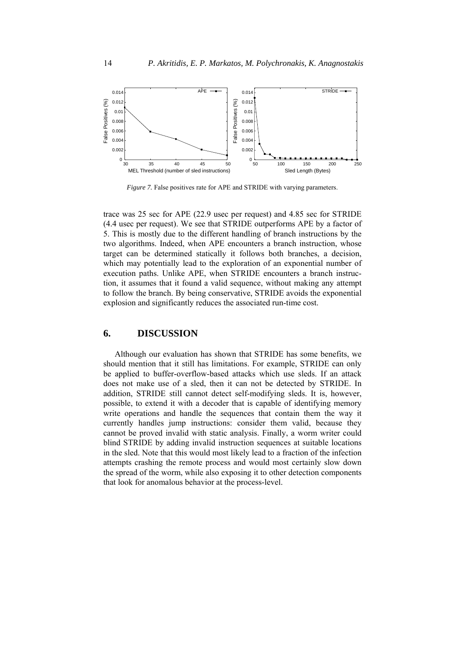

*Figure 7.* False positives rate for APE and STRIDE with varying parameters.

trace was 25 sec for APE (22.9 usec per request) and 4.85 sec for STRIDE (4.4 usec per request). We see that STRIDE outperforms APE by a factor of 5. This is mostly due to the different handling of branch instructions by the two algorithms. Indeed, when APE encounters a branch instruction, whose target can be determined statically it follows both branches, a decision, which may potentially lead to the exploration of an exponential number of execution paths. Unlike APE, when STRIDE encounters a branch instruction, it assumes that it found a valid sequence, without making any attempt to follow the branch. By being conservative, STRIDE avoids the exponential explosion and significantly reduces the associated run-time cost.

#### **6. DISCUSSION**

Although our evaluation has shown that STRIDE has some benefits, we should mention that it still has limitations. For example, STRIDE can only be applied to buffer-overflow-based attacks which use sleds. If an attack does not make use of a sled, then it can not be detected by STRIDE. In addition, STRIDE still cannot detect self-modifying sleds. It is, however, possible, to extend it with a decoder that is capable of identifying memory write operations and handle the sequences that contain them the way it currently handles jump instructions: consider them valid, because they cannot be proved invalid with static analysis. Finally, a worm writer could blind STRIDE by adding invalid instruction sequences at suitable locations in the sled. Note that this would most likely lead to a fraction of the infection attempts crashing the remote process and would most certainly slow down the spread of the worm, while also exposing it to other detection components that look for anomalous behavior at the process-level.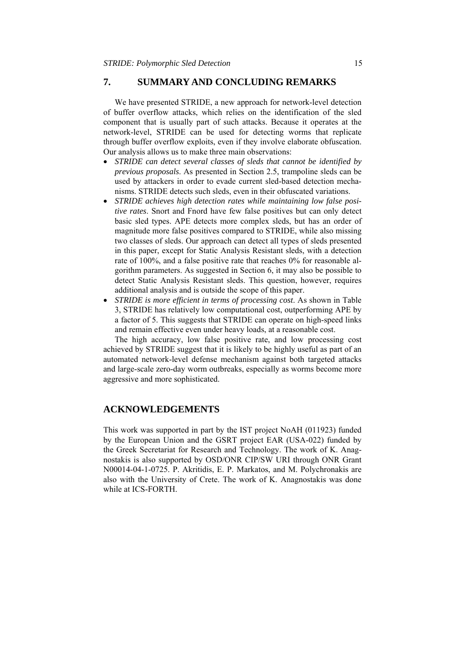# **7. SUMMARY AND CONCLUDING REMARKS**

We have presented STRIDE, a new approach for network-level detection of buffer overflow attacks, which relies on the identification of the sled component that is usually part of such attacks. Because it operates at the network-level, STRIDE can be used for detecting worms that replicate through buffer overflow exploits, even if they involve elaborate obfuscation. Our analysis allows us to make three main observations:

- *STRIDE can detect several classes of sleds that cannot be identified by previous proposals*. As presented in Section 2.5, trampoline sleds can be used by attackers in order to evade current sled-based detection mechanisms. STRIDE detects such sleds, even in their obfuscated variations.
- *STRIDE achieves high detection rates while maintaining low false positive rates*. Snort and Fnord have few false positives but can only detect basic sled types. APE detects more complex sleds, but has an order of magnitude more false positives compared to STRIDE, while also missing two classes of sleds. Our approach can detect all types of sleds presented in this paper, except for Static Analysis Resistant sleds, with a detection rate of 100%, and a false positive rate that reaches 0% for reasonable algorithm parameters. As suggested in Section 6, it may also be possible to detect Static Analysis Resistant sleds. This question, however, requires additional analysis and is outside the scope of this paper.
- *STRIDE is more efficient in terms of processing cost*. As shown in Table 3, STRIDE has relatively low computational cost, outperforming APE by a factor of 5. This suggests that STRIDE can operate on high-speed links and remain effective even under heavy loads, at a reasonable cost.

The high accuracy, low false positive rate, and low processing cost achieved by STRIDE suggest that it is likely to be highly useful as part of an automated network-level defense mechanism against both targeted attacks and large-scale zero-day worm outbreaks, especially as worms become more aggressive and more sophisticated.

# **ACKNOWLEDGEMENTS**

This work was supported in part by the IST project NoAH (011923) funded by the European Union and the GSRT project EAR (USA-022) funded by the Greek Secretariat for Research and Technology. The work of K. Anagnostakis is also supported by OSD/ONR CIP/SW URI through ONR Grant N00014-04-1-0725. P. Akritidis, E. P. Markatos, and M. Polychronakis are also with the University of Crete. The work of K. Anagnostakis was done while at ICS-FORTH.